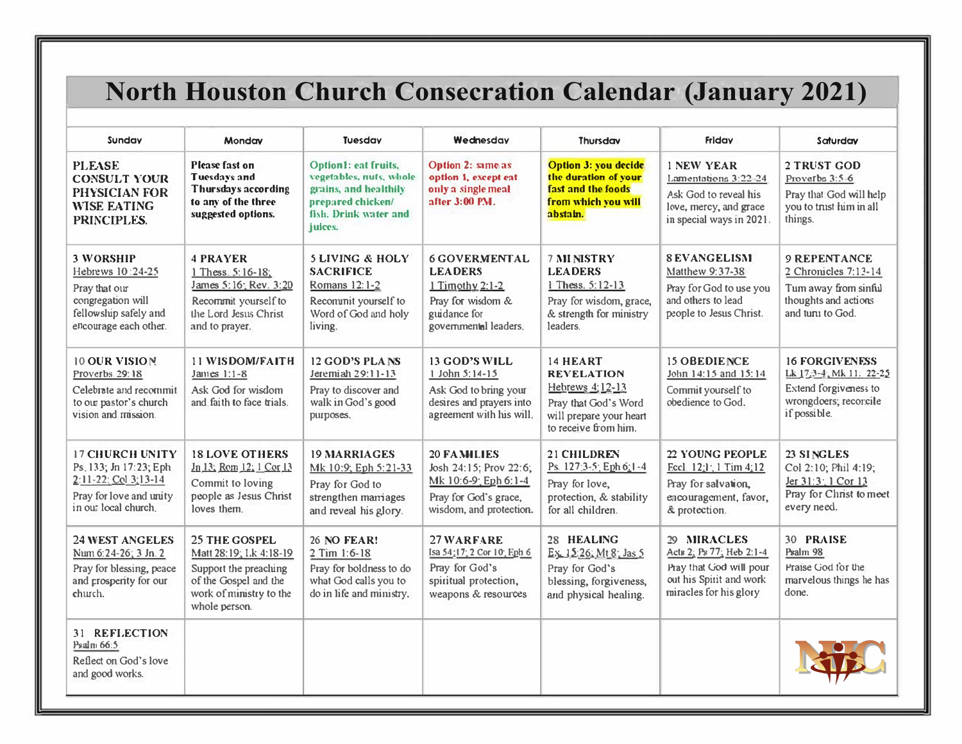# **North Houston Church Consecration Calendar (January 2021)**

| Sundav                                                                                                                       | <b>Monday</b>                                                                                                                                | Tuesday                                                                                                                                  | Wednesday                                                                                                                   | Thursday                                                                                                                    | <b>Friday</b>                                                                                                           | Saturday                                                                                                           |
|------------------------------------------------------------------------------------------------------------------------------|----------------------------------------------------------------------------------------------------------------------------------------------|------------------------------------------------------------------------------------------------------------------------------------------|-----------------------------------------------------------------------------------------------------------------------------|-----------------------------------------------------------------------------------------------------------------------------|-------------------------------------------------------------------------------------------------------------------------|--------------------------------------------------------------------------------------------------------------------|
| <b>PLEASE</b><br><b>CONSULT YOUR</b><br>PHYSICIAN FOR<br><b>WISE EATING</b><br>PRINCIPLES.                                   | Please fast on<br><b>Tuesdays and</b><br>Thursdays according<br>to any of the three<br>suggested options.                                    | <b>Option1: eat fruits.</b><br>vegetables, nuts, whole<br>grains, and healthily<br>prepared chicken/<br>fish, Drink water and<br>juices. | Option 2: same as<br>option 1, except eat<br>only a single meal<br>after 3:00 PM.                                           | <b>Option 3: you decide</b><br>the duration of your<br>fast and the foods<br>from which you will<br>abstain.                | <b>1 NEW YEAR</b><br>Lamentations 3:22-24                                                                               | 2 TRUST GOD<br>Proverbs 3:5-6                                                                                      |
|                                                                                                                              |                                                                                                                                              |                                                                                                                                          |                                                                                                                             |                                                                                                                             | Ask God to reveal his<br>love, mercy, and grace<br>in special ways in 2021.                                             | Pray that God will help<br>you to trust him in all<br>things.                                                      |
| <b>3 WORSHIP</b><br>Hebrews 10:24-25<br>Pray that our<br>congregation will<br>fellowship safely and<br>encourage each other. | <b>4 PRAYER</b><br>1 Thess. 5:16-18;<br>James 5:16; Rev. 3:20<br>Recommit yourself to<br>the Lord Jesus Christ<br>and to prayer.             | <b>5 LIVING &amp; HOLY</b><br><b>SACRIFICE</b><br>Romans 12:1-2<br>Recommit yourself to<br>Word of God and holy<br>living.               | <b>6 GOVERMENTAL</b><br><b>LEADERS</b><br>$1$ Timothy $2:1-2$<br>Pray for wisdom &<br>guidance for<br>governmental leaders. | <b>7 MINISTRY</b><br><b>LEADERS</b><br>1 Thess. 5:12-13<br>Pray for wisdom, grace,<br>& strength for ministry<br>leaders.   | <b>8 EVANGELISM</b><br>Matthew 9:37-38<br>Pray for God to use you<br>and others to lead<br>people to Jesus Christ.      | <b>9 REPENTANCE</b><br>2 Chronicles 7:13-14<br>Tum away from sinful<br>thoughts and actions<br>and turn to God.    |
| <b>10 OUR VISION</b><br>Proverbs 29:18<br>Celebrate and recommit<br>to our pastor's church<br>vision and mission.            | <b>11 WISDOM/FAITH</b><br>James 1:1-8<br>Ask God for wisdom<br>and faith to face trials.                                                     | <b>12 GOD'S PLANS</b><br>Jeremiah 29:11-13<br>Pray to discover and<br>walk in God's good<br>purposes.                                    | <b>13 GOD'S WILL</b><br>1 John 5:14-15<br>Ask God to bring your<br>desires and prayers into<br>agreement with his will.     | 14 HEART<br><b>REVELATION</b><br>Hebrews 4:12-13<br>Pray that God's Word<br>will prepare your heart<br>to receive from him. | <b>15 OBEDIENCE</b><br>John 14:15 and 15:14<br>Commit yourself to<br>obedience to God.                                  | <b>16 FORGIVENESS</b><br>Lk 17:3-4: Mk 11: 22-25<br>Extend forgiveness to<br>wrongdoers; recorcile<br>if possible. |
| <b>17 CHURCH UNITY</b><br>Ps. 133; Jn 17:23; Eph<br>2:11-22: Col 3:13-14<br>Pray for love and unity<br>in our local church.  | <b>18 LOVE OTHERS</b><br>Jn 13; Rom 12; 1 Cor 13<br>Commit to loving<br>people as Jesus Christ<br>loves them.                                | <b>19 MARRIAGES</b><br>Mk 10:9; Eph 5:21-33<br>Pray for God to<br>strengthen marriages<br>and reveal his glory.                          | <b>20 FAMILIES</b><br>Josh 24:15; Prov 22:6;<br>Mk 10:6-9: Eph 6:1-4<br>Pray for God's grace,<br>wisdom, and protection.    | 21 CHILDREN<br>Ps. 127:3-5: Eph 6:1-4<br>Pray for love,<br>protection, & stability<br>for all children.                     | 22 YOUNG PEOPLE<br>Eccl. $12:1:1$ Tim 4:12<br>Pray for salvation,<br>encouragement, favor,<br>& protection.             | 23 SINGLES<br>Col 2:10; Phil 4:19;<br>Jer 31:3: 1 Cor 13<br>Pray for Christ to meet<br>every need.                 |
| <b>24 WEST ANGELES</b><br>Num $6:24-26$ ; $3$ Jn. 2<br>Pray for blessing, peace<br>and prosperity for our<br>church.         | <b>25 THE GOSPEL</b><br>Matt 28:19; Lk 4:18-19<br>Support the preaching<br>of the Gospel and the<br>work of ministry to the<br>whole person. | 26 NO FEAR!<br>2 Tim 1:6-18<br>Pray for boldness to do<br>what God calls you to<br>do in life and ministry.                              | 27 WARFARE<br>Isa 54:17: 2 Cor 10: Eph 6<br>Pray for God's<br>spiritual protection,<br>weapons & resources                  | 28 HEALING<br>Ex. 15:26; Mt 8: Jas 5<br>Pray for God's<br>blessing, forgiveness,<br>and physical healing.                   | 29 MIRACLES<br>Acts 2; Ps 77; Heb 2:1-4<br>Pray that God will pour<br>out his Spirit and work<br>miracles for his glory | <b>30 PRAISE</b><br>Psalm 98<br>Praise God for the<br>marvelous things he has<br>done.                             |
| 31 REFLECTION<br>Psalm 66:5<br>Reflect on God's love<br>and good works.                                                      |                                                                                                                                              |                                                                                                                                          |                                                                                                                             |                                                                                                                             |                                                                                                                         |                                                                                                                    |